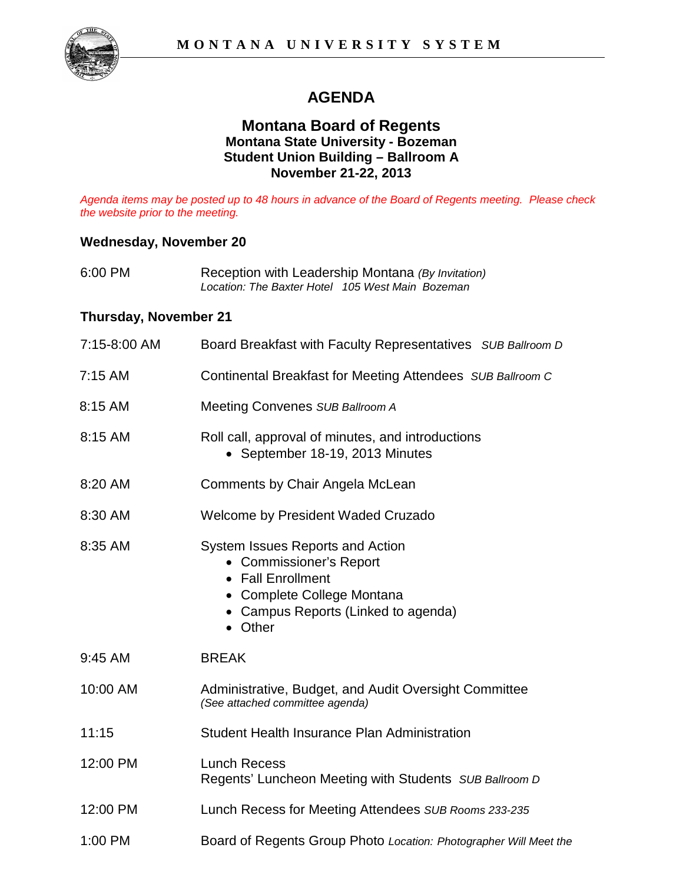# **AGENDA**

### **Montana Board of Regents Montana State University - Bozeman Student Union Building – Ballroom A November 21-22, 2013**

*Agenda items may be posted up to 48 hours in advance of the Board of Regents meeting. Please check the website prior to the meeting.* 

#### **Wednesday, November 20**

| 6:00 PM |                                                  | Reception with Leadership Montana (By Invitation) |
|---------|--------------------------------------------------|---------------------------------------------------|
|         | Location: The Baxter Hotel 105 West Main Bozeman |                                                   |

#### **Thursday, November 21**

| 7:15-8:00 AM | Board Breakfast with Faculty Representatives SUB Ballroom D                                                                                                      |
|--------------|------------------------------------------------------------------------------------------------------------------------------------------------------------------|
| $7:15$ AM    | Continental Breakfast for Meeting Attendees SUB Ballroom C                                                                                                       |
| 8:15 AM      | Meeting Convenes SUB Ballroom A                                                                                                                                  |
| 8:15 AM      | Roll call, approval of minutes, and introductions<br>• September 18-19, 2013 Minutes                                                                             |
| 8:20 AM      | Comments by Chair Angela McLean                                                                                                                                  |
| 8:30 AM      | Welcome by President Waded Cruzado                                                                                                                               |
| 8:35 AM      | System Issues Reports and Action<br>• Commissioner's Report<br>• Fall Enrollment<br>• Complete College Montana<br>• Campus Reports (Linked to agenda)<br>• Other |
| 9:45 AM      | <b>BREAK</b>                                                                                                                                                     |
| 10:00 AM     | Administrative, Budget, and Audit Oversight Committee<br>(See attached committee agenda)                                                                         |
| 11:15        | Student Health Insurance Plan Administration                                                                                                                     |
| 12:00 PM     | <b>Lunch Recess</b><br>Regents' Luncheon Meeting with Students SUB Ballroom D                                                                                    |
| 12:00 PM     | Lunch Recess for Meeting Attendees SUB Rooms 233-235                                                                                                             |
| 1:00 PM      | Board of Regents Group Photo Location: Photographer Will Meet the                                                                                                |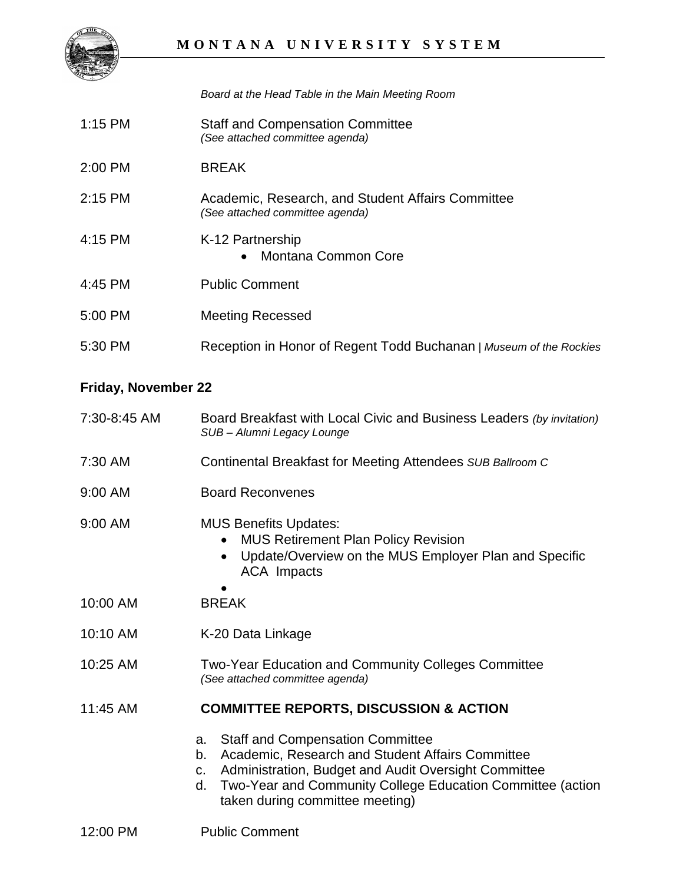

*Board at the Head Table in the Main Meeting Room*

- 1:15 PM Staff and Compensation Committee *(See attached committee agenda)*
- 2:00 PM BREAK
- 2:15 PM Academic, Research, and Student Affairs Committee *(See attached committee agenda)*
- 4:15 PM K-12 Partnership • Montana Common Core 4:45 PM Public Comment
- 5:00 PM Meeting Recessed
- 5:30 PM Reception in Honor of Regent Todd Buchanan *| Museum of the Rockies*

## **Friday, November 22**

- 7:30-8:45 AM Board Breakfast with Local Civic and Business Leaders *(by invitation) SUB – Alumni Legacy Lounge*
- 7:30 AM Continental Breakfast for Meeting Attendees *SUB Ballroom C*
- 9:00 AM Board Reconvenes
- 9:00 AM MUS Benefits Updates:
	- MUS Retirement Plan Policy Revision
	- Update/Overview on the MUS Employer Plan and Specific ACA Impacts
- 10:00 AM BREAK
- 10:10 AM K-20 Data Linkage
- 10:25 AM Two-Year Education and Community Colleges Committee *(See attached committee agenda)*

#### 11:45 AM **COMMITTEE REPORTS, DISCUSSION & ACTION**

- a. Staff and Compensation Committee
- b. Academic, Research and Student Affairs Committee
- c. Administration, Budget and Audit Oversight Committee
- d. Two-Year and Community College Education Committee (action taken during committee meeting)
- 12:00 PM Public Comment